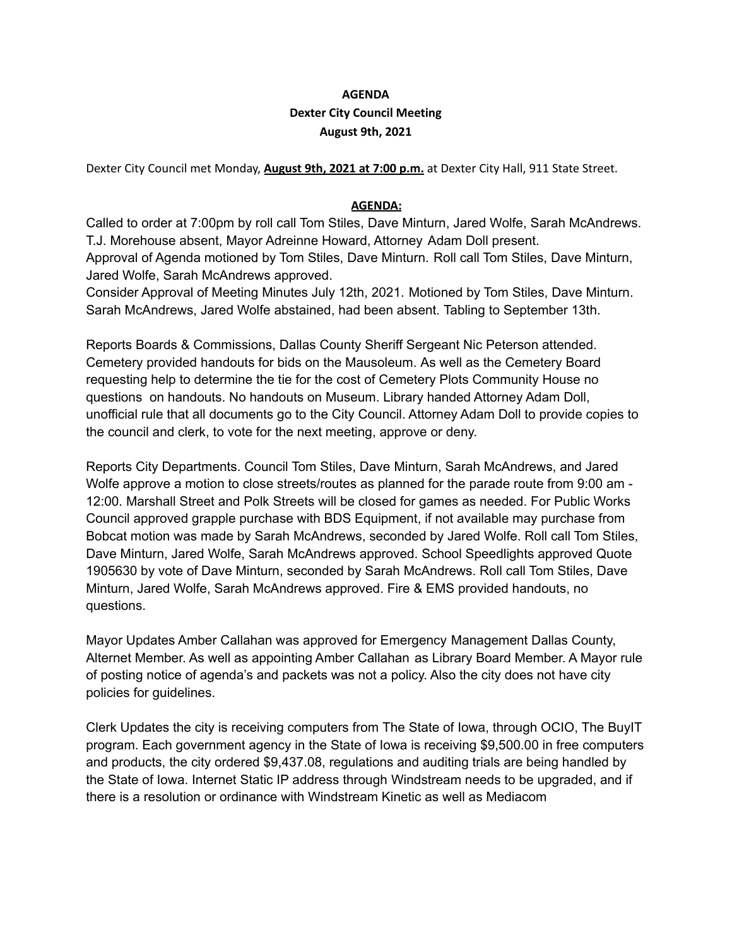## **AGENDA Dexter City Council Meeting August 9th, 2021**

Dexter City Council met Monday, **August 9th, 2021 at 7:00 p.m.** at Dexter City Hall, 911 State Street.

## **AGENDA:**

Called to order at 7:00pm by roll call Tom Stiles, Dave Minturn, Jared Wolfe, Sarah McAndrews. T.J. Morehouse absent, Mayor Adreinne Howard, Attorney Adam Doll present. Approval of Agenda motioned by Tom Stiles, Dave Minturn. Roll call Tom Stiles, Dave Minturn, Jared Wolfe, Sarah McAndrews approved.

Consider Approval of Meeting Minutes July 12th, 2021. Motioned by Tom Stiles, Dave Minturn. Sarah McAndrews, Jared Wolfe abstained, had been absent. Tabling to September 13th.

Reports Boards & Commissions, Dallas County Sheriff Sergeant Nic Peterson attended. Cemetery provided handouts for bids on the Mausoleum. As well as the Cemetery Board requesting help to determine the tie for the cost of Cemetery Plots Community House no questions on handouts. No handouts on Museum. Library handed Attorney Adam Doll, unofficial rule that all documents go to the City Council. Attorney Adam Doll to provide copies to the council and clerk, to vote for the next meeting, approve or deny.

Reports City Departments. Council Tom Stiles, Dave Minturn, Sarah McAndrews, and Jared Wolfe approve a motion to close streets/routes as planned for the parade route from 9:00 am - 12:00. Marshall Street and Polk Streets will be closed for games as needed. For Public Works Council approved grapple purchase with BDS Equipment, if not available may purchase from Bobcat motion was made by Sarah McAndrews, seconded by Jared Wolfe. Roll call Tom Stiles, Dave Minturn, Jared Wolfe, Sarah McAndrews approved. School Speedlights approved Quote 1905630 by vote of Dave Minturn, seconded by Sarah McAndrews. Roll call Tom Stiles, Dave Minturn, Jared Wolfe, Sarah McAndrews approved. Fire & EMS provided handouts, no questions.

Mayor Updates Amber Callahan was approved for Emergency Management Dallas County, Alternet Member. As well as appointing Amber Callahan as Library Board Member. A Mayor rule of posting notice of agenda's and packets was not a policy. Also the city does not have city policies for guidelines.

Clerk Updates the city is receiving computers from The State of Iowa, through OCIO, The BuyIT program. Each government agency in the State of Iowa is receiving \$9,500.00 in free computers and products, the city ordered \$9,437.08, regulations and auditing trials are being handled by the State of Iowa. Internet Static IP address through Windstream needs to be upgraded, and if there is a resolution or ordinance with Windstream Kinetic as well as Mediacom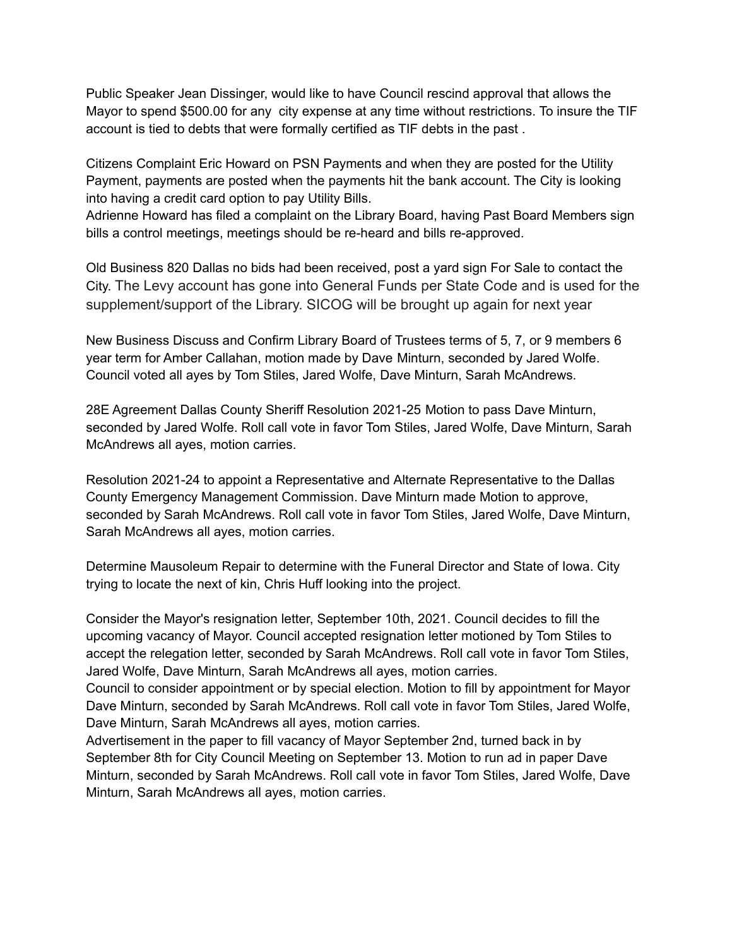Public Speaker Jean Dissinger, would like to have Council rescind approval that allows the Mayor to spend \$500.00 for any city expense at any time without restrictions. To insure the TIF account is tied to debts that were formally certified as TIF debts in the past .

Citizens Complaint Eric Howard on PSN Payments and when they are posted for the Utility Payment, payments are posted when the payments hit the bank account. The City is looking into having a credit card option to pay Utility Bills.

Adrienne Howard has filed a complaint on the Library Board, having Past Board Members sign bills a control meetings, meetings should be re-heard and bills re-approved.

Old Business 820 Dallas no bids had been received, post a yard sign For Sale to contact the City. The Levy account has gone into General Funds per State Code and is used for the supplement/support of the Library. SICOG will be brought up again for next year

New Business Discuss and Confirm Library Board of Trustees terms of 5, 7, or 9 members 6 year term for Amber Callahan, motion made by Dave Minturn, seconded by Jared Wolfe. Council voted all ayes by Tom Stiles, Jared Wolfe, Dave Minturn, Sarah McAndrews.

28E Agreement Dallas County Sheriff Resolution 2021-25 Motion to pass Dave Minturn, seconded by Jared Wolfe. Roll call vote in favor Tom Stiles, Jared Wolfe, Dave Minturn, Sarah McAndrews all ayes, motion carries.

Resolution 2021-24 to appoint a Representative and Alternate Representative to the Dallas County Emergency Management Commission. Dave Minturn made Motion to approve, seconded by Sarah McAndrews. Roll call vote in favor Tom Stiles, Jared Wolfe, Dave Minturn, Sarah McAndrews all ayes, motion carries.

Determine Mausoleum Repair to determine with the Funeral Director and State of Iowa. City trying to locate the next of kin, Chris Huff looking into the project.

Consider the Mayor's resignation letter, September 10th, 2021. Council decides to fill the upcoming vacancy of Mayor. Council accepted resignation letter motioned by Tom Stiles to accept the relegation letter, seconded by Sarah McAndrews. Roll call vote in favor Tom Stiles, Jared Wolfe, Dave Minturn, Sarah McAndrews all ayes, motion carries.

Council to consider appointment or by special election. Motion to fill by appointment for Mayor Dave Minturn, seconded by Sarah McAndrews. Roll call vote in favor Tom Stiles, Jared Wolfe, Dave Minturn, Sarah McAndrews all ayes, motion carries.

Advertisement in the paper to fill vacancy of Mayor September 2nd, turned back in by September 8th for City Council Meeting on September 13. Motion to run ad in paper Dave Minturn, seconded by Sarah McAndrews. Roll call vote in favor Tom Stiles, Jared Wolfe, Dave Minturn, Sarah McAndrews all ayes, motion carries.